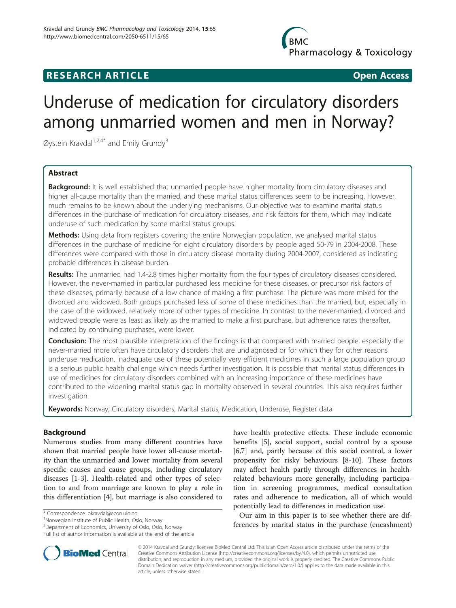## **RESEARCH ARTICLE Example Access CODE ACCESS**

# Underuse of medication for circulatory disorders among unmarried women and men in Norway?

Øystein Kravdal<sup>1,2,4\*</sup> and Emily Grundy<sup>3</sup>

## Abstract

**Background:** It is well established that unmarried people have higher mortality from circulatory diseases and higher all-cause mortality than the married, and these marital status differences seem to be increasing. However, much remains to be known about the underlying mechanisms. Our objective was to examine marital status differences in the purchase of medication for circulatory diseases, and risk factors for them, which may indicate underuse of such medication by some marital status groups.

**Methods:** Using data from registers covering the entire Norwegian population, we analysed marital status differences in the purchase of medicine for eight circulatory disorders by people aged 50-79 in 2004-2008. These differences were compared with those in circulatory disease mortality during 2004-2007, considered as indicating probable differences in disease burden.

Results: The unmarried had 1.4-2.8 times higher mortality from the four types of circulatory diseases considered. However, the never-married in particular purchased less medicine for these diseases, or precursor risk factors of these diseases, primarily because of a low chance of making a first purchase. The picture was more mixed for the divorced and widowed. Both groups purchased less of some of these medicines than the married, but, especially in the case of the widowed, relatively more of other types of medicine. In contrast to the never-married, divorced and widowed people were as least as likely as the married to make a first purchase, but adherence rates thereafter, indicated by continuing purchases, were lower.

Conclusion: The most plausible interpretation of the findings is that compared with married people, especially the never-married more often have circulatory disorders that are undiagnosed or for which they for other reasons underuse medication. Inadequate use of these potentially very efficient medicines in such a large population group is a serious public health challenge which needs further investigation. It is possible that marital status differences in use of medicines for circulatory disorders combined with an increasing importance of these medicines have contributed to the widening marital status gap in mortality observed in several countries. This also requires further investigation.

Keywords: Norway, Circulatory disorders, Marital status, Medication, Underuse, Register data

## Background

Numerous studies from many different countries have shown that married people have lower all-cause mortality than the unmarried and lower mortality from several specific causes and cause groups, including circulatory diseases [[1-3](#page-7-0)]. Health-related and other types of selection to and from marriage are known to play a role in this differentiation [\[4](#page-8-0)], but marriage is also considered to

\* Correspondence: [okravdal@econ.uio.no](mailto:okravdal@econ.uio.no) <sup>1</sup>

Full list of author information is available at the end of the article

have health protective effects. These include economic benefits [\[5](#page-8-0)], social support, social control by a spouse [[6,7\]](#page-8-0) and, partly because of this social control, a lower propensity for risky behaviours [[8-10](#page-8-0)]. These factors may affect health partly through differences in healthrelated behaviours more generally, including participation in screening programmes, medical consultation rates and adherence to medication, all of which would potentially lead to differences in medication use.

Our aim in this paper is to see whether there are differences by marital status in the purchase (encashment)



© 2014 Kravdal and Grundy; licensee BioMed Central Ltd. This is an Open Access article distributed under the terms of the Creative Commons Attribution License (<http://creativecommons.org/licenses/by/4.0>), which permits unrestricted use, distribution, and reproduction in any medium, provided the original work is properly credited. The Creative Commons Public Domain Dedication waiver [\(http://creativecommons.org/publicdomain/zero/1.0/\)](http://creativecommons.org/publicdomain/zero/1.0/) applies to the data made available in this article, unless otherwise stated.

<sup>&</sup>lt;sup>1</sup>Norwegian Institute of Public Health, Oslo, Norway

<sup>2</sup> Department of Economics, University of Oslo, Oslo, Norway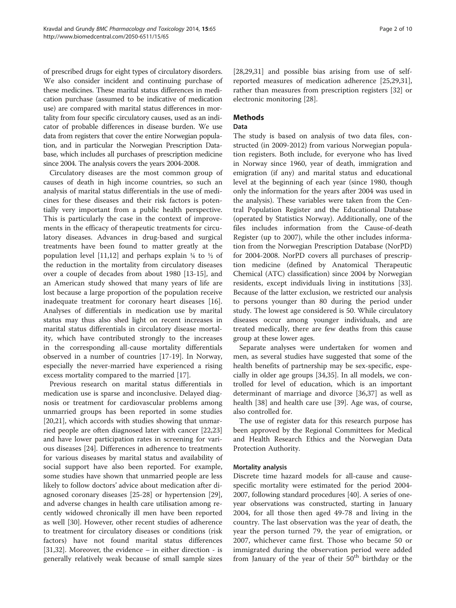of prescribed drugs for eight types of circulatory disorders. We also consider incident and continuing purchase of these medicines. These marital status differences in medication purchase (assumed to be indicative of medication use) are compared with marital status differences in mortality from four specific circulatory causes, used as an indicator of probable differences in disease burden. We use data from registers that cover the entire Norwegian population, and in particular the Norwegian Prescription Database, which includes all purchases of prescription medicine since 2004. The analysis covers the years 2004-2008.

Circulatory diseases are the most common group of causes of death in high income countries, so such an analysis of marital status differentials in the use of medicines for these diseases and their risk factors is potentially very important from a public health perspective. This is particularly the case in the context of improvements in the efficacy of therapeutic treatments for circulatory diseases. Advances in drug-based and surgical treatments have been found to matter greatly at the population level [[11](#page-8-0),[12](#page-8-0)] and perhaps explain  $\frac{1}{4}$  to  $\frac{1}{2}$  of the reduction in the mortality from circulatory diseases over a couple of decades from about 1980 [\[13-15](#page-8-0)], and an American study showed that many years of life are lost because a large proportion of the population receive inadequate treatment for coronary heart diseases [\[16](#page-8-0)]. Analyses of differentials in medication use by marital status may thus also shed light on recent increases in marital status differentials in circulatory disease mortality, which have contributed strongly to the increases in the corresponding all-cause mortality differentials observed in a number of countries [\[17-19](#page-8-0)]. In Norway, especially the never-married have experienced a rising excess mortality compared to the married [\[17\]](#page-8-0).

Previous research on marital status differentials in medication use is sparse and inconclusive. Delayed diagnosis or treatment for cardiovascular problems among unmarried groups has been reported in some studies [[20,21\]](#page-8-0), which accords with studies showing that unmarried people are often diagnosed later with cancer [[22](#page-8-0),[23](#page-8-0)] and have lower participation rates in screening for various diseases [[24](#page-8-0)]. Differences in adherence to treatments for various diseases by marital status and availability of social support have also been reported. For example, some studies have shown that unmarried people are less likely to follow doctors' advice about medication after diagnosed coronary diseases [[25-28](#page-8-0)] or hypertension [\[29](#page-8-0)], and adverse changes in health care utilisation among recently widowed chronically ill men have been reported as well [\[30](#page-8-0)]. However, other recent studies of adherence to treatment for circulatory diseases or conditions (risk factors) have not found marital status differences [[31,32\]](#page-8-0). Moreover, the evidence – in either direction - is generally relatively weak because of small sample sizes [[28,29,31\]](#page-8-0) and possible bias arising from use of selfreported measures of medication adherence [[25,29,31](#page-8-0)], rather than measures from prescription registers [\[32](#page-8-0)] or electronic monitoring [[28\]](#page-8-0).

## Methods

#### Data

The study is based on analysis of two data files, constructed (in 2009-2012) from various Norwegian population registers. Both include, for everyone who has lived in Norway since 1960, year of death, immigration and emigration (if any) and marital status and educational level at the beginning of each year (since 1980, though only the information for the years after 2004 was used in the analysis). These variables were taken from the Central Population Register and the Educational Database (operated by Statistics Norway). Additionally, one of the files includes information from the Cause-of-death Register (up to 2007), while the other includes information from the Norwegian Prescription Database (NorPD) for 2004-2008. NorPD covers all purchases of prescription medicine (defined by Anatomical Therapeutic Chemical (ATC) classification) since 2004 by Norwegian residents, except individuals living in institutions [\[33](#page-8-0)]. Because of the latter exclusion, we restricted our analysis to persons younger than 80 during the period under study. The lowest age considered is 50. While circulatory diseases occur among younger individuals, and are treated medically, there are few deaths from this cause group at these lower ages.

Separate analyses were undertaken for women and men, as several studies have suggested that some of the health benefits of partnership may be sex-specific, especially in older age groups [\[34,35](#page-8-0)]. In all models, we controlled for level of education, which is an important determinant of marriage and divorce [[36,37\]](#page-8-0) as well as health [\[38](#page-8-0)] and health care use [[39\]](#page-8-0). Age was, of course, also controlled for.

The use of register data for this research purpose has been approved by the Regional Committees for Medical and Health Research Ethics and the Norwegian Data Protection Authority.

#### Mortality analysis

Discrete time hazard models for all-cause and causespecific mortality were estimated for the period 2004- 2007, following standard procedures [[40](#page-8-0)]. A series of oneyear observations was constructed, starting in January 2004, for all those then aged 49-78 and living in the country. The last observation was the year of death, the year the person turned 79, the year of emigration, or 2007, whichever came first. Those who became 50 or immigrated during the observation period were added from January of the year of their  $50<sup>th</sup>$  birthday or the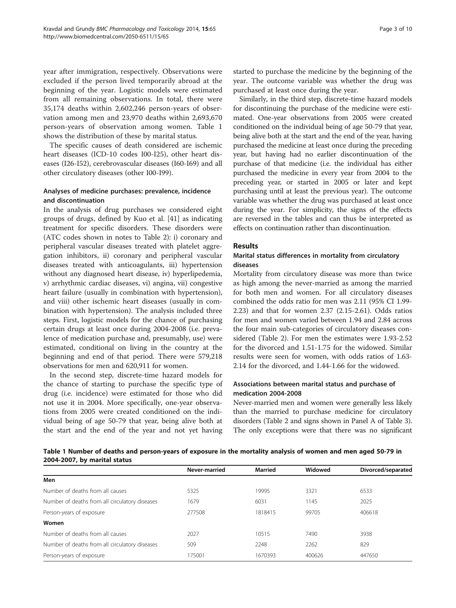year after immigration, respectively. Observations were excluded if the person lived temporarily abroad at the beginning of the year. Logistic models were estimated from all remaining observations. In total, there were 35,174 deaths within 2,602,246 person-years of observation among men and 23,970 deaths within 2,693,670 person-years of observation among women. Table 1 shows the distribution of these by marital status.

The specific causes of death considered are ischemic heart diseases (ICD-10 codes I00-I25), other heart diseases (I26-I52), cerebrovascular diseases (I60-I69) and all other circulatory diseases (other I00-I99).

#### Analyses of medicine purchases: prevalence, incidence and discontinuation

In the analysis of drug purchases we considered eight groups of drugs, defined by Kuo et al. [[41\]](#page-8-0) as indicating treatment for specific disorders. These disorders were (ATC codes shown in notes to Table [2\)](#page-3-0): i) coronary and peripheral vascular diseases treated with platelet aggregation inhibitors, ii) coronary and peripheral vascular diseases treated with anticoagulants, iii) hypertension without any diagnosed heart disease, iv) hyperlipedemia, v) arrhythmic cardiac diseases, vi) angina, vii) congestive heart failure (usually in combination with hypertension), and viii) other ischemic heart diseases (usually in combination with hypertension). The analysis included three steps. First, logistic models for the chance of purchasing certain drugs at least once during 2004-2008 (i.e. prevalence of medication purchase and, presumably, use) were estimated, conditional on living in the country at the beginning and end of that period. There were 579,218 observations for men and 620,911 for women.

In the second step, discrete-time hazard models for the chance of starting to purchase the specific type of drug (i.e. incidence) were estimated for those who did not use it in 2004. More specifically, one-year observations from 2005 were created conditioned on the individual being of age 50-79 that year, being alive both at the start and the end of the year and not yet having

Similarly, in the third step, discrete-time hazard models for discontinuing the purchase of the medicine were estimated. One-year observations from 2005 were created conditioned on the individual being of age 50-79 that year, being alive both at the start and the end of the year, having purchased the medicine at least once during the preceding year, but having had no earlier discontinuation of the purchase of that medicine (i.e. the individual has either purchased the medicine in every year from 2004 to the preceding year, or started in 2005 or later and kept purchasing until at least the previous year). The outcome variable was whether the drug was purchased at least once during the year. For simplicity, the signs of the effects are reversed in the tables and can thus be interpreted as effects on continuation rather than discontinuation.

#### Results

## Marital status differences in mortality from circulatory diseases

Mortality from circulatory disease was more than twice as high among the never-married as among the married for both men and women. For all circulatory diseases combined the odds ratio for men was 2.11 (95% CI 1.99- 2.23) and that for women 2.37 (2.15-2.61). Odds ratios for men and women varied between 1.94 and 2.84 across the four main sub-categories of circulatory diseases considered (Table [2\)](#page-3-0). For men the estimates were 1.93-2.52 for the divorced and 1.51-1.75 for the widowed. Similar results were seen for women, with odds ratios of 1.63- 2.14 for the divorced, and 1.44-1.66 for the widowed.

## Associations between marital status and purchase of medication 2004-2008

Never-married men and women were generally less likely than the married to purchase medicine for circulatory disorders (Table [2](#page-3-0) and signs shown in Panel A of Table [3](#page-4-0)). The only exceptions were that there was no significant

Table 1 Number of deaths and person-years of exposure in the mortality analysis of women and men aged 50-79 in 2004-2007, by marital status

|                                                | Never-married | <b>Married</b> | Widowed | Divorced/separated |
|------------------------------------------------|---------------|----------------|---------|--------------------|
| Men                                            |               |                |         |                    |
| Number of deaths from all causes               | 5325          | 19995          | 3321    | 6533               |
| Number of deaths from all circulatory diseases | 1679          | 6031           | 1145    | 2025               |
| Person-years of exposure                       | 277508        | 1818415        | 99705   | 406618             |
| Women                                          |               |                |         |                    |
| Number of deaths from all causes               | 2027          | 10515          | 7490    | 3938               |
| Number of deaths from all circulatory diseases | 509           | 2248           | 2262    | 829                |
| Person-years of exposure                       | 175001        | 1670393        | 400626  | 447650             |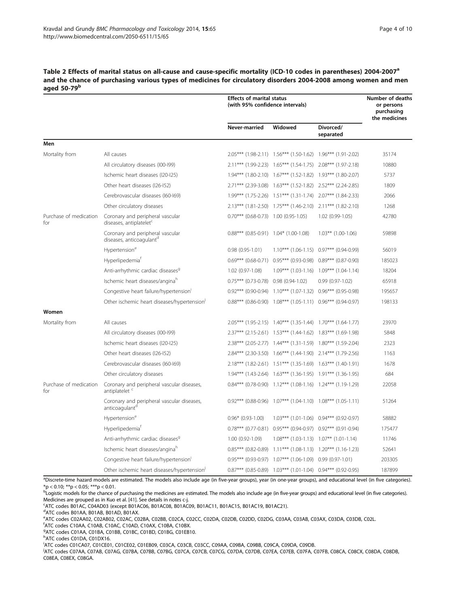<span id="page-3-0"></span>Table 2 Effects of marital status on all-cause and cause-specific mortality (ICD-10 codes in parentheses) 2004-2007<sup>a</sup> and the chance of purchasing various types of medicines for circulatory disorders 2004-2008 among women and men aged 50-79<sup>b</sup>

|                               |                                                                          | <b>Effects of marital status</b><br>(with 95% confidence intervals) |                                                                   |                                                 | Number of deaths<br>or persons<br>purchasing<br>the medicines |
|-------------------------------|--------------------------------------------------------------------------|---------------------------------------------------------------------|-------------------------------------------------------------------|-------------------------------------------------|---------------------------------------------------------------|
|                               |                                                                          | Never-married                                                       | Widowed                                                           | Divorced/<br>separated                          |                                                               |
| Men                           |                                                                          |                                                                     |                                                                   |                                                 |                                                               |
| Mortality from                | All causes                                                               |                                                                     | 2.05*** (1.98-2.11) 1.56*** (1.50-1.62) 1.96*** (1.91-2.02)       |                                                 | 35174                                                         |
|                               | All circulatory diseases (I00-I99)                                       |                                                                     | 2.11*** (1.99-2.23) 1.65*** (1.54-1.75) 2.08*** (1.97-2.18)       |                                                 | 10880                                                         |
|                               | Ischemic heart diseases (I20-I25)                                        |                                                                     | 1.94*** (1.80-2.10) 1.67*** (1.52-1.82) 1.93*** (1.80-2.07)       |                                                 | 5737                                                          |
|                               | Other heart diseases (126-152)                                           |                                                                     | 2.71*** (2.39-3.08) 1.63*** (1.52-1.82) 2.52*** (2.24-2.85)       |                                                 | 1809                                                          |
|                               | Cerebrovascular diseases (I60-I69)                                       |                                                                     | $1.99***$ (1.75-2.26) $1.51***$ (1.31-1.74) $2.07***$ (1.84-2.33) |                                                 | 2066                                                          |
|                               | Other circulatory diseases                                               |                                                                     | 2.13*** (1.81-2.50) 1.75*** (1.46-2.10) 2.11*** (1.82-2.10)       |                                                 | 1268                                                          |
| Purchase of medication<br>for | Coronary and peripheral vascular<br>diseases, antiplatelet <sup>c</sup>  | $0.70***$ (0.68-0.73) 1.00 (0.95-1.05)                              |                                                                   | 1.02 (0.99-1.05)                                | 42780                                                         |
|                               | Coronary and peripheral vascular<br>diseases, anticoagulant <sup>a</sup> | $0.88***$ (0.85-0.91) 1.04* (1.00-1.08)                             |                                                                   | $1.03***$ $(1.00-1.06)$                         | 59898                                                         |
|                               | Hypertension <sup>e</sup>                                                | $0.98(0.95 - 1.01)$                                                 | $1.10***$ $(1.06-1.15)$                                           | $0.97***$ (0.94-0.99)                           | 56019                                                         |
|                               | Hyperlipedemia <sup>t</sup>                                              |                                                                     | $0.69***$ (0.68-0.71) $0.95***$ (0.93-0.98)                       | $0.89***$ (0.87-0.90)                           | 185023                                                        |
|                               | Anti-arrhythmic cardiac diseases <sup>9</sup>                            | 1.02 (0.97-1.08)                                                    |                                                                   | $1.09***$ $(1.03-1.16)$ $1.09***$ $(1.04-1.14)$ | 18204                                                         |
|                               | Ischemic heart diseases/anginah                                          | $0.75***$ (0.73-0.78) 0.98 (0.94-1.02)                              |                                                                   | $0.99$ $(0.97 - 1.02)$                          | 65918                                                         |
|                               | Congestive heart failure/hypertension'                                   | $0.92***$ (0.90-0.94)                                               | $1.10***$ (1.07-1.32) 0.96*** (0.95-0.98)                         |                                                 | 195657                                                        |
|                               | Other ischemic heart diseases/hypertension <sup>1</sup>                  |                                                                     | $0.88***$ (0.86-0.90) $1.08***$ (1.05-1.11) $0.96***$ (0.94-0.97) |                                                 | 198133                                                        |
| Women                         |                                                                          |                                                                     |                                                                   |                                                 |                                                               |
| Mortality from                | All causes                                                               |                                                                     | 2.05*** (1.95-2.15) 1.40*** (1.35-1.44) 1.70*** (1.64-1.77)       |                                                 | 23970                                                         |
|                               | All circulatory diseases (I00-I99)                                       |                                                                     | 2.37*** (2.15-2.61) 1.53*** (1.44-1.62) 1.83*** (1.69-1.98)       |                                                 | 5848                                                          |
|                               | Ischemic heart diseases (I20-I25)                                        |                                                                     | 2.38*** (2.05-2.77) 1.44*** (1.31-1.59) 1.80*** (1.59-2.04)       |                                                 | 2323                                                          |
|                               | Other heart diseases (126-152)                                           |                                                                     | 2.84*** (2.30-3.50) 1.66*** (1.44-1.90) 2.14*** (1.79-2.56)       |                                                 | 1163                                                          |
|                               | Cerebrovascular diseases (I60-I69)                                       |                                                                     | 2.18*** (1.82-2.61) 1.51*** (1.35-1.69) 1.63*** (1.40-1.91)       |                                                 | 1678                                                          |
|                               | Other circulatory diseases                                               |                                                                     | 1.94*** (1.43-2.64) 1.63*** (1.36-1.95) 1.91*** (1.36-1.95)       |                                                 | 684                                                           |
| Purchase of medication<br>for | Coronary and peripheral vascular diseases,<br>antiplatelet c             |                                                                     | $0.84***$ (0.78-0.90) $1.12***$ (1.08-1.16) $1.24***$ (1.19-1.29) |                                                 | 22058                                                         |
|                               | Coronary and peripheral vascular diseases,<br>anticoagulant <sup>d</sup> |                                                                     | $0.92***$ (0.88-0.96) $1.07***$ (1.04-1.10) $1.08***$ (1.05-1.11) |                                                 | 51264                                                         |
|                               | Hypertension <sup>e</sup>                                                | $0.96*$ (0.93-1.00)                                                 |                                                                   | $1.03***$ (1.01-1.06) 0.94*** (0.92-0.97)       | 58882                                                         |
|                               | Hyperlipedemia <sup>r</sup>                                              |                                                                     | $0.78***$ (0.77-0.81) $0.95***$ (0.94-0.97) $0.92***$ (0.91-0.94) |                                                 | 175477                                                        |
|                               | Anti-arrhythmic cardiac diseases <sup>9</sup>                            | $1.00(0.92 - 1.09)$                                                 |                                                                   | $1.08***$ (1.03-1.13) $1.07**$ (1.01-1.14)      | 11746                                                         |
|                               | Ischemic heart diseases/angina <sup>n</sup>                              |                                                                     | $0.85***$ (0.82-0.89) 1.11*** (1.08-1.13) 1.20*** (1.16-1.23)     |                                                 | 52641                                                         |
|                               | Congestive heart failure/hypertension'                                   |                                                                     | $0.95***$ (0.93-0.97) $1.07***$ (1.06-1.09) 0.99 (0.97-1.01)      |                                                 | 203305                                                        |
|                               | Other ischemic heart diseases/hypertension <sup>)</sup>                  |                                                                     | 0.87*** (0.85-0.89) 1.03*** (1.01-1.04) 0.94*** (0.92-0.95)       |                                                 | 187899                                                        |

a<br>Piscrete-time hazard models are estimated. The models also include age (in five-year groups), year (in one-year groups), and educational level (in five categories).  $*$ p < 0.10;  $**$ p < 0.05;  $***$ p < 0.01.

bLogistic models for the chance of purchasing the medicines are estimated. The models also include age (in five-year groups) and educational level (in five categories). Medicines are grouped as in Kuo et al. [[41](#page-8-0)]. See details in notes c-j.

ATC codes B01AC, C04AD03 (except B01AC06, B01AC08, B01AC09, B01AC11, B01AC15, B01AC19, B01AC21).

d ATC codes B01AA, B01AB, B01AD, B01AX.

e ATC codes C02AA02, C02AB02, C02AC, C02BA, C02BB, C02CA, C02CC, C02DA, C02DB, C02DD, C02DG, C03AA, C03AB, C03AX, C03DA, C03DB, C02L.

f ATC codes C10AA, C10AB, C10AC, C10AD, C10AX, C10BA, C10BX.

g ATC codes C01AA, C01BA, C01BB, C01BC, C01BD, C01BG, C01EB10.

<sup>h</sup>ATC codes C01DA, C01DX16.

i ATC codes C01CA07, C01CE01, C01CE02, C01EB09, C03CA, C03CB, C03CC, C09AA, C09BA, C09BB, C09CA, C09DA, C09DB.

.<br>ATC codes C07AA, C07AB, C07AG, C07BA, C07BB, C07BG, C07CA, C07CB, C07CG, C07DA, C07DB, C07EA, C07FB, C07FB, C08CA, C08CX, C08DA, C08DB, C08EA, C08EX, C08GA.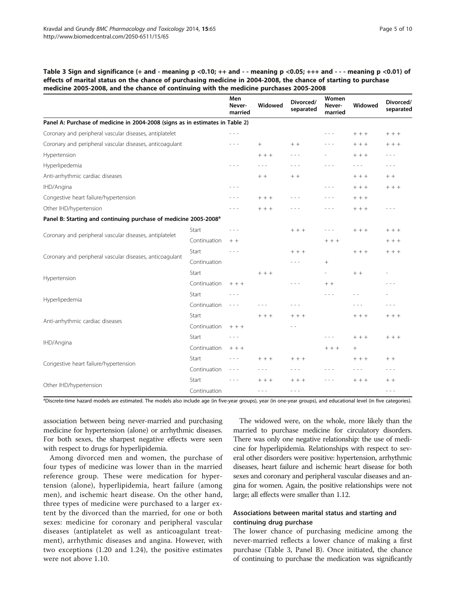<span id="page-4-0"></span>

| Table 3 Sign and significance $(+$ and - meaning $p < 0.10$ ; $++$ and $-$ meaning $p < 0.05$ ; $+++$ and $-$ - meaning $p < 0.01$ ) of |
|-----------------------------------------------------------------------------------------------------------------------------------------|
| effects of marital status on the chance of purchasing medicine in 2004-2008, the chance of starting to purchase                         |
| medicine 2005-2008, and the chance of continuing with the medicine purchases 2005-2008                                                  |

|                                                                               |              | Men<br>Never-<br>married                                                                                               | Widowed | Divorced/<br>separated                                                                                                                                                                                                                                                                                                                                                                       | Women<br>Never-<br>married | Widowed | Divorced/<br>separated   |
|-------------------------------------------------------------------------------|--------------|------------------------------------------------------------------------------------------------------------------------|---------|----------------------------------------------------------------------------------------------------------------------------------------------------------------------------------------------------------------------------------------------------------------------------------------------------------------------------------------------------------------------------------------------|----------------------------|---------|--------------------------|
| Panel A: Purchase of medicine in 2004-2008 (signs as in estimates in Table 2) |              |                                                                                                                        |         |                                                                                                                                                                                                                                                                                                                                                                                              |                            |         |                          |
| Coronary and peripheral vascular diseases, antiplatelet                       |              | - - -                                                                                                                  |         |                                                                                                                                                                                                                                                                                                                                                                                              | $  -$                      | $++$    | $+ + +$                  |
| Coronary and peripheral vascular diseases, anticoagulant                      |              | - - -                                                                                                                  | $^{+}$  | $+ +$                                                                                                                                                                                                                                                                                                                                                                                        | $- - -$                    | $++$    | $+ + +$                  |
| Hypertension                                                                  |              |                                                                                                                        | $++$    | $  -$                                                                                                                                                                                                                                                                                                                                                                                        |                            | $++$    | $ -$                     |
| Hyperlipedemia                                                                |              | - - -                                                                                                                  | $ -$    | $- - -$                                                                                                                                                                                                                                                                                                                                                                                      | - - -                      | $- - -$ | - - -                    |
| Anti-arrhythmic cardiac diseases                                              |              |                                                                                                                        | $+ +$   | $+ +$                                                                                                                                                                                                                                                                                                                                                                                        |                            | $+ + +$ | $+ +$                    |
| IHD/Angina                                                                    |              | $  -$                                                                                                                  |         |                                                                                                                                                                                                                                                                                                                                                                                              | $  -$                      | $+ + +$ | $+ + +$                  |
| Congestive heart failure/hypertension                                         |              | - - -                                                                                                                  | $+ + +$ | $ -$                                                                                                                                                                                                                                                                                                                                                                                         | $ -$                       | $+ + +$ |                          |
| Other IHD/hypertension                                                        |              | - - -                                                                                                                  | $++$    | $\frac{1}{2} \frac{1}{2} \frac{1}{2} \frac{1}{2} \frac{1}{2} \frac{1}{2} \frac{1}{2} \frac{1}{2} \frac{1}{2} \frac{1}{2} \frac{1}{2} \frac{1}{2} \frac{1}{2} \frac{1}{2} \frac{1}{2} \frac{1}{2} \frac{1}{2} \frac{1}{2} \frac{1}{2} \frac{1}{2} \frac{1}{2} \frac{1}{2} \frac{1}{2} \frac{1}{2} \frac{1}{2} \frac{1}{2} \frac{1}{2} \frac{1}{2} \frac{1}{2} \frac{1}{2} \frac{1}{2} \frac{$ | $- - -$                    | $++$    | $- - -$                  |
| Panel B: Starting and continuing purchase of medicine 2005-2008 <sup>a</sup>  |              |                                                                                                                        |         |                                                                                                                                                                                                                                                                                                                                                                                              |                            |         |                          |
|                                                                               | Start        | $- - -$                                                                                                                |         | $+ + +$                                                                                                                                                                                                                                                                                                                                                                                      | - - -                      | $+ + +$ | $+ + +$                  |
| Coronary and peripheral vascular diseases, antiplatelet                       | Continuation | $+ +$                                                                                                                  |         |                                                                                                                                                                                                                                                                                                                                                                                              | $+ + +$                    |         | $+ + +$                  |
|                                                                               | Start        | $- - -$                                                                                                                |         | $+ + +$                                                                                                                                                                                                                                                                                                                                                                                      |                            | $+ + +$ | $++$                     |
| Coronary and peripheral vascular diseases, anticoagulant                      | Continuation |                                                                                                                        |         | $- - -$                                                                                                                                                                                                                                                                                                                                                                                      | $^{+}$                     |         |                          |
|                                                                               | Start        |                                                                                                                        | $+ + +$ |                                                                                                                                                                                                                                                                                                                                                                                              | $\overline{\phantom{a}}$   | $+ +$   | $\overline{\phantom{a}}$ |
| Hypertension                                                                  | Continuation | $+ + +$                                                                                                                |         | $\frac{1}{2} \left( \frac{1}{2} \right) \left( \frac{1}{2} \right) \left( \frac{1}{2} \right)$                                                                                                                                                                                                                                                                                               | $+ +$                      |         | $- - -$                  |
|                                                                               | Start        | $- - -$                                                                                                                |         |                                                                                                                                                                                                                                                                                                                                                                                              | - - -                      | $ -$    |                          |
| Hyperlipedemia                                                                | Continuation | $  -$                                                                                                                  | - - -   | $  -$                                                                                                                                                                                                                                                                                                                                                                                        |                            | $- - -$ | - - -                    |
|                                                                               | Start        |                                                                                                                        | $++ +$  | $+ + +$                                                                                                                                                                                                                                                                                                                                                                                      |                            | $+ + +$ | $+ + +$                  |
| Anti-arrhythmic cardiac diseases                                              | Continuation | $+ + +$                                                                                                                |         | $ -$                                                                                                                                                                                                                                                                                                                                                                                         |                            |         |                          |
| IHD/Angina                                                                    | Start        | $\frac{1}{2} \left( \frac{1}{2} \right) = \frac{1}{2} \left( \frac{1}{2} \right)$                                      |         |                                                                                                                                                                                                                                                                                                                                                                                              | $  -$                      | $+ + +$ | $+ + +$                  |
|                                                                               | Continuation | $+ + +$                                                                                                                |         |                                                                                                                                                                                                                                                                                                                                                                                              | $+ + +$                    | $+$     |                          |
| Congestive heart failure/hypertension                                         | Start        | $\frac{1}{2} \left( \frac{1}{2} \right) \frac{1}{2} \left( \frac{1}{2} \right) \frac{1}{2} \left( \frac{1}{2} \right)$ | $+ + +$ | $+ + +$                                                                                                                                                                                                                                                                                                                                                                                      |                            | $++$    | $+ +$                    |
|                                                                               | Continuation | $\frac{1}{2} \left( \frac{1}{2} \right) \frac{1}{2} \left( \frac{1}{2} \right) \frac{1}{2} \left( \frac{1}{2} \right)$ | $- - -$ | $\frac{1}{2} \frac{1}{2} \frac{1}{2} \frac{1}{2} \frac{1}{2} \frac{1}{2} \frac{1}{2} \frac{1}{2} \frac{1}{2} \frac{1}{2} \frac{1}{2} \frac{1}{2} \frac{1}{2} \frac{1}{2} \frac{1}{2} \frac{1}{2} \frac{1}{2} \frac{1}{2} \frac{1}{2} \frac{1}{2} \frac{1}{2} \frac{1}{2} \frac{1}{2} \frac{1}{2} \frac{1}{2} \frac{1}{2} \frac{1}{2} \frac{1}{2} \frac{1}{2} \frac{1}{2} \frac{1}{2} \frac{$ | - - -                      | $- - -$ | $  -$                    |
|                                                                               | Start        | $- - -$                                                                                                                | $+ + +$ | $+ + +$                                                                                                                                                                                                                                                                                                                                                                                      | $- - -$                    | $+ + +$ | $+ +$                    |
| Other IHD/hypertension                                                        | Continuation |                                                                                                                        | $ -$    | $ -$                                                                                                                                                                                                                                                                                                                                                                                         |                            |         | - - -                    |

a<br>Tiscrete-time hazard models are estimated. The models also include age (in five-year groups), year (in one-year groups), and educational level (in five categories).

association between being never-married and purchasing medicine for hypertension (alone) or arrhythmic diseases. For both sexes, the sharpest negative effects were seen with respect to drugs for hyperlipidemia.

Among divorced men and women, the purchase of four types of medicine was lower than in the married reference group. These were medication for hypertension (alone), hyperlipidemia, heart failure (among men), and ischemic heart disease. On the other hand, three types of medicine were purchased to a larger extent by the divorced than the married, for one or both sexes: medicine for coronary and peripheral vascular diseases (antiplatelet as well as anticoagulant treatment), arrhythmic diseases and angina. However, with two exceptions (1.20 and 1.24), the positive estimates were not above 1.10.

The widowed were, on the whole, more likely than the married to purchase medicine for circulatory disorders. There was only one negative relationship: the use of medicine for hyperlipidemia. Relationships with respect to several other disorders were positive: hypertension, arrhythmic diseases, heart failure and ischemic heart disease for both sexes and coronary and peripheral vascular diseases and angina for women. Again, the positive relationships were not large; all effects were smaller than 1.12.

## Associations between marital status and starting and continuing drug purchase

The lower chance of purchasing medicine among the never-married reflects a lower chance of making a first purchase (Table 3, Panel B). Once initiated, the chance of continuing to purchase the medication was significantly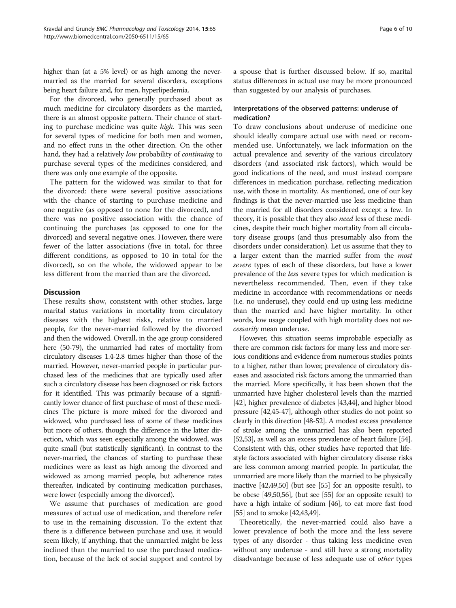higher than (at a 5% level) or as high among the nevermarried as the married for several disorders, exceptions being heart failure and, for men, hyperlipedemia.

For the divorced, who generally purchased about as much medicine for circulatory disorders as the married, there is an almost opposite pattern. Their chance of starting to purchase medicine was quite high. This was seen for several types of medicine for both men and women, and no effect runs in the other direction. On the other hand, they had a relatively low probability of continuing to purchase several types of the medicines considered, and there was only one example of the opposite.

The pattern for the widowed was similar to that for the divorced: there were several positive associations with the chance of starting to purchase medicine and one negative (as opposed to none for the divorced), and there was no positive association with the chance of continuing the purchases (as opposed to one for the divorced) and several negative ones. However, there were fewer of the latter associations (five in total, for three different conditions, as opposed to 10 in total for the divorced), so on the whole, the widowed appear to be less different from the married than are the divorced.

## **Discussion**

These results show, consistent with other studies, large marital status variations in mortality from circulatory diseases with the highest risks, relative to married people, for the never-married followed by the divorced and then the widowed. Overall, in the age group considered here (50-79), the unmarried had rates of mortality from circulatory diseases 1.4-2.8 times higher than those of the married. However, never-married people in particular purchased less of the medicines that are typically used after such a circulatory disease has been diagnosed or risk factors for it identified. This was primarily because of a significantly lower chance of first purchase of most of these medicines The picture is more mixed for the divorced and widowed, who purchased less of some of these medicines but more of others, though the difference in the latter direction, which was seen especially among the widowed, was quite small (but statistically significant). In contrast to the never-married, the chances of starting to purchase these medicines were as least as high among the divorced and widowed as among married people, but adherence rates thereafter, indicated by continuing medication purchases, were lower (especially among the divorced).

We assume that purchases of medication are good measures of actual use of medication, and therefore refer to use in the remaining discussion. To the extent that there is a difference between purchase and use, it would seem likely, if anything, that the unmarried might be less inclined than the married to use the purchased medication, because of the lack of social support and control by a spouse that is further discussed below. If so, marital status differences in actual use may be more pronounced than suggested by our analysis of purchases.

## Interpretations of the observed patterns: underuse of medication?

To draw conclusions about underuse of medicine one should ideally compare actual use with need or recommended use. Unfortunately, we lack information on the actual prevalence and severity of the various circulatory disorders (and associated risk factors), which would be good indications of the need, and must instead compare differences in medication purchase, reflecting medication use, with those in mortality. As mentioned, one of our key findings is that the never-married use less medicine than the married for all disorders considered except a few. In theory, it is possible that they also *need* less of these medicines, despite their much higher mortality from all circulatory disease groups (and thus presumably also from the disorders under consideration). Let us assume that they to a larger extent than the married suffer from the most severe types of each of these disorders, but have a lower prevalence of the less severe types for which medication is nevertheless recommended. Then, even if they take medicine in accordance with recommendations or needs (i.e. no underuse), they could end up using less medicine than the married and have higher mortality. In other words, low usage coupled with high mortality does not necessarily mean underuse.

However, this situation seems improbable especially as there are common risk factors for many less and more serious conditions and evidence from numerous studies points to a higher, rather than lower, prevalence of circulatory diseases and associated risk factors among the unmarried than the married. More specifically, it has been shown that the unmarried have higher cholesterol levels than the married [[42](#page-8-0)], higher prevalence of diabetes [\[43,44](#page-8-0)], and higher blood pressure [[42,45](#page-8-0)-[47](#page-8-0)], although other studies do not point so clearly in this direction [[48](#page-8-0)[-52\]](#page-9-0). A modest excess prevalence of stroke among the unmarried has also been reported [[52,53\]](#page-9-0), as well as an excess prevalence of heart failure [\[54](#page-9-0)]. Consistent with this, other studies have reported that lifestyle factors associated with higher circulatory disease risks are less common among married people. In particular, the unmarried are more likely than the married to be physically inactive [\[42,49,50\]](#page-8-0) (but see [\[55](#page-9-0)] for an opposite result), to be obese [\[49,50](#page-8-0)[,56](#page-9-0)], (but see [\[55\]](#page-9-0) for an opposite result) to have a high intake of sodium [\[46\]](#page-8-0), to eat more fast food [[55](#page-9-0)] and to smoke [\[42,43,49\]](#page-8-0).

Theoretically, the never-married could also have a lower prevalence of both the more and the less severe types of any disorder - thus taking less medicine even without any underuse - and still have a strong mortality disadvantage because of less adequate use of other types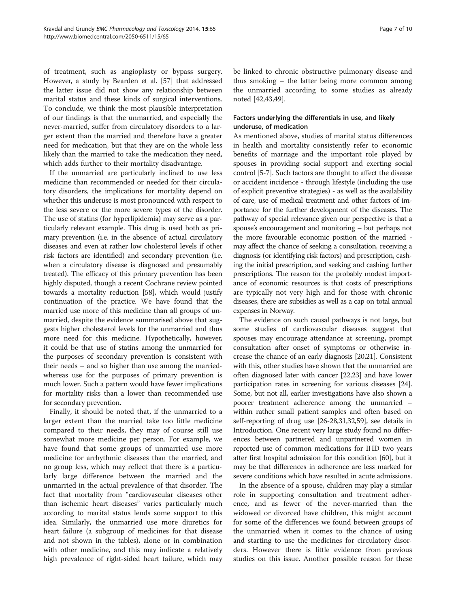of treatment, such as angioplasty or bypass surgery. However, a study by Bearden et al. [\[57\]](#page-9-0) that addressed the latter issue did not show any relationship between marital status and these kinds of surgical interventions. To conclude, we think the most plausible interpretation of our findings is that the unmarried, and especially the never-married, suffer from circulatory disorders to a larger extent than the married and therefore have a greater need for medication, but that they are on the whole less likely than the married to take the medication they need, which adds further to their mortality disadvantage.

If the unmarried are particularly inclined to use less medicine than recommended or needed for their circulatory disorders, the implications for mortality depend on whether this underuse is most pronounced with respect to the less severe or the more severe types of the disorder. The use of statins (for hyperlipidemia) may serve as a particularly relevant example. This drug is used both as primary prevention (i.e. in the absence of actual circulatory diseases and even at rather low cholesterol levels if other risk factors are identified) and secondary prevention (i.e. when a circulatory disease is diagnosed and presumably treated). The efficacy of this primary prevention has been highly disputed, though a recent Cochrane review pointed towards a mortality reduction [\[58\]](#page-9-0), which would justify continuation of the practice. We have found that the married use more of this medicine than all groups of unmarried, despite the evidence summarised above that suggests higher cholesterol levels for the unmarried and thus more need for this medicine. Hypothetically, however, it could be that use of statins among the unmarried for the purposes of secondary prevention is consistent with their needs – and so higher than use among the marriedwhereas use for the purposes of primary prevention is much lower. Such a pattern would have fewer implications for mortality risks than a lower than recommended use for secondary prevention.

Finally, it should be noted that, if the unmarried to a larger extent than the married take too little medicine compared to their needs, they may of course still use somewhat more medicine per person. For example, we have found that some groups of unmarried use more medicine for arrhythmic diseases than the married, and no group less, which may reflect that there is a particularly large difference between the married and the unmarried in the actual prevalence of that disorder. The fact that mortality from "cardiovascular diseases other than ischemic heart diseases" varies particularly much according to marital status lends some support to this idea. Similarly, the unmarried use more diuretics for heart failure (a subgroup of medicines for that disease and not shown in the tables), alone or in combination with other medicine, and this may indicate a relatively high prevalence of right-sided heart failure, which may be linked to chronic obstructive pulmonary disease and thus smoking – the latter being more common among the unmarried according to some studies as already noted [\[42,43,49\]](#page-8-0).

## Factors underlying the differentials in use, and likely underuse, of medication

As mentioned above, studies of marital status differences in health and mortality consistently refer to economic benefits of marriage and the important role played by spouses in providing social support and exerting social control [\[5-7](#page-8-0)]. Such factors are thought to affect the disease or accident incidence - through lifestyle (including the use of explicit preventive strategies) - as well as the availability of care, use of medical treatment and other factors of importance for the further development of the diseases. The pathway of special relevance given our perspective is that a spouse's encouragement and monitoring – but perhaps not the more favourable economic position of the married may affect the chance of seeking a consultation, receiving a diagnosis (or identifying risk factors) and prescription, cashing the initial prescription, and seeking and cashing further prescriptions. The reason for the probably modest importance of economic resources is that costs of prescriptions are typically not very high and for those with chronic diseases, there are subsidies as well as a cap on total annual expenses in Norway.

The evidence on such causal pathways is not large, but some studies of cardiovascular diseases suggest that spouses may encourage attendance at screening, prompt consultation after onset of symptoms or otherwise increase the chance of an early diagnosis [[20,21\]](#page-8-0). Consistent with this, other studies have shown that the unmarried are often diagnosed later with cancer [\[22,23](#page-8-0)] and have lower participation rates in screening for various diseases [[24](#page-8-0)]. Some, but not all, earlier investigations have also shown a poorer treatment adherence among the unmarried – within rather small patient samples and often based on self-reporting of drug use [[26](#page-8-0)-[28,31,32,](#page-8-0)[59](#page-9-0)], see details in Introduction. One recent very large study found no differences between partnered and unpartnered women in reported use of common medications for IHD two years after first hospital admission for this condition [[60](#page-9-0)], but it may be that differences in adherence are less marked for severe conditions which have resulted in acute admissions.

In the absence of a spouse, children may play a similar role in supporting consultation and treatment adherence, and as fewer of the never-married than the widowed or divorced have children, this might account for some of the differences we found between groups of the unmarried when it comes to the chance of using and starting to use the medicines for circulatory disorders. However there is little evidence from previous studies on this issue. Another possible reason for these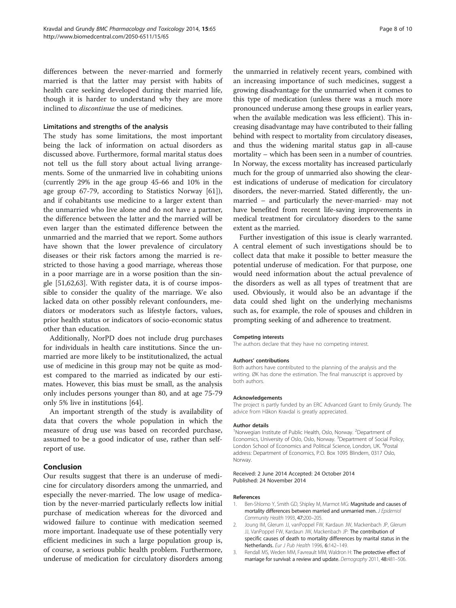<span id="page-7-0"></span>differences between the never-married and formerly married is that the latter may persist with habits of health care seeking developed during their married life, though it is harder to understand why they are more inclined to discontinue the use of medicines.

#### Limitations and strengths of the analysis

The study has some limitations, the most important being the lack of information on actual disorders as discussed above. Furthermore, formal marital status does not tell us the full story about actual living arrangements. Some of the unmarried live in cohabiting unions (currently 29% in the age group 45-66 and 10% in the age group 67-79, according to Statistics Norway [\[61](#page-9-0)]), and if cohabitants use medicine to a larger extent than the unmarried who live alone and do not have a partner, the difference between the latter and the married will be even larger than the estimated difference between the unmarried and the married that we report. Some authors have shown that the lower prevalence of circulatory diseases or their risk factors among the married is restricted to those having a good marriage, whereas those in a poor marriage are in a worse position than the single [\[51](#page-8-0)[,62,63\]](#page-9-0). With register data, it is of course impossible to consider the quality of the marriage. We also lacked data on other possibly relevant confounders, mediators or moderators such as lifestyle factors, values, prior health status or indicators of socio-economic status other than education.

Additionally, NorPD does not include drug purchases for individuals in health care institutions. Since the unmarried are more likely to be institutionalized, the actual use of medicine in this group may not be quite as modest compared to the married as indicated by our estimates. However, this bias must be small, as the analysis only includes persons younger than 80, and at age 75-79 only 5% live in institutions [[64\]](#page-9-0).

An important strength of the study is availability of data that covers the whole population in which the measure of drug use was based on recorded purchase, assumed to be a good indicator of use, rather than selfreport of use.

#### Conclusion

Our results suggest that there is an underuse of medicine for circulatory disorders among the unmarried, and especially the never-married. The low usage of medication by the never-married particularly reflects low initial purchase of medication whereas for the divorced and widowed failure to continue with medication seemed more important. Inadequate use of these potentially very efficient medicines in such a large population group is, of course, a serious public health problem. Furthermore, underuse of medication for circulatory disorders among

the unmarried in relatively recent years, combined with an increasing importance of such medicines, suggest a growing disadvantage for the unmarried when it comes to this type of medication (unless there was a much more pronounced underuse among these groups in earlier years, when the available medication was less efficient). This increasing disadvantage may have contributed to their falling behind with respect to mortality from circulatory diseases, and thus the widening marital status gap in all-cause mortality – which has been seen in a number of countries. In Norway, the excess mortality has increased particularly much for the group of unmarried also showing the clearest indications of underuse of medication for circulatory disorders, the never-married. Stated differently, the unmarried – and particularly the never-married- may not have benefited from recent life-saving improvements in medical treatment for circulatory disorders to the same extent as the married.

Further investigation of this issue is clearly warranted. A central element of such investigations should be to collect data that make it possible to better measure the potential underuse of medication. For that purpose, one would need information about the actual prevalence of the disorders as well as all types of treatment that are used. Obviously, it would also be an advantage if the data could shed light on the underlying mechanisms such as, for example, the role of spouses and children in prompting seeking of and adherence to treatment.

#### Competing interests

The authors declare that they have no competing interest.

#### Authors' contributions

Both authors have contributed to the planning of the analysis and the writing. ØK has done the estimation. The final manuscript is approved by both authors.

#### Acknowledgements

The project is partly funded by an ERC Advanced Grant to Emily Grundy. The advice from Håkon Kravdal is greatly appreciated.

#### Author details

<sup>1</sup>Norwegian Institute of Public Health, Oslo, Norway. <sup>2</sup>Department of Economics, University of Oslo, Oslo, Norway. <sup>3</sup>Department of Social Policy, London School of Economics and Political Science, London, UK. <sup>4</sup>Postal address: Department of Economics, P.O. Box 1095 Blindern, 0317 Oslo, Norway.

Received: 2 June 2014 Accepted: 24 October 2014 Published: 24 November 2014

#### References

- 1. Ben-Shlomo Y, Smith GD, Shipley M, Marmot MG: Magnitude and causes of mortality differences between married and unmarried men. J Epidemiol Community Health 1993, 47:200–205.
- 2. Joung IM, Glerum JJ, vanPoppel FW, Kardaun JW, Mackenbach JP, Glerum JJ, VanPoppel FW, Kardaun JW, Mackenbach JP: The contribution of specific causes of death to mortality differences by marital status in the Netherlands. Eur J Pub Health 1996, 6:142–149.
- 3. Rendall MS, Weden MM, Favreault MM, Waldron H: The protective effect of marriage for survival: a review and update. Demography 2011, 48:481-506.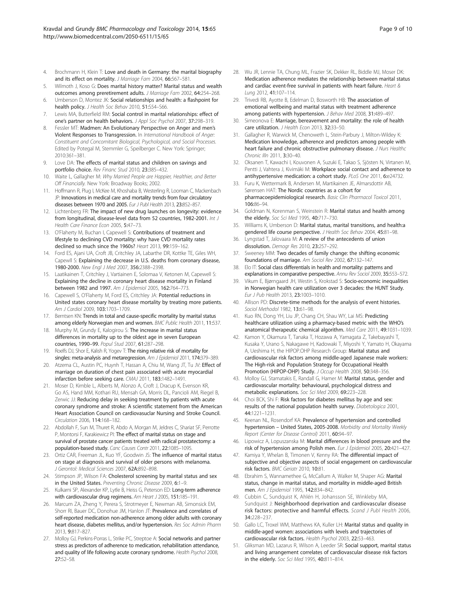- <span id="page-8-0"></span>4. Brochmann H, Klein T: Love and death in Germany: the marital biography and its effect on mortality. J Marriage Fam 2004, 66:567-581.
- 5. Wilmoth J, Koso G: Does marital history matter? Marital status and wealth outcomes among preretirement adults. J Marriage Fam 2002, 64:254–268.
- 6. Umberson D, Montez JK: Social relationships and health: a flashpoint for health policy. J Health Soc Behav 2010, 51:S54-S66.
- 7. Lewis MA, Butterfield RM: Social control in marital relationships: effect of one's partner on health behaviors. J Appl Soc Psychol 2007, 37:298-319.
- 8. Fessler MT: Madmen: An Evolutionary Perspective on Anger and men's Violent Responses to Transgression. In International Handbook of Anger: Constituent and Concomitant Biological, Psychological, and Social Processes. Edited by Potegal M, Stemmler G, Speilberger C. New York: Springer; 2010:361–381.
- 9. Love DA: The effects of marital status and children on savings and portfolio choice. Rev Financ Stud 2010, 23:385–432.
- 10. Waite L, Gallagher M: Why Married People are Happier, Healthier, and Better Off Financially. New York: Broadway Books; 2002.
- 11. Hoffmann R, Plug I, McKee M, Khoshaba B, Westerling R, Looman C, Mackenbach JP: Innovations in medical care and mortality trends from four circulatory diseases between 1970 and 2005. Eur J Publ Health 2013, 23:852–857.
- 12. Lichtenberg FR: The impact of new drug launches on longevity: evidence from longitudinal, disease-level data from 52 countries, 1982-2001. Int J Health Care Finance Econ 2005, 5:47–73.
- 13. O'Flaherty M, Buchan I, Capewell S: Contributions of treatment and lifestyle to declining CVD mortality: why have CVD mortality rates declined so much since the 1960s? Heart 2013, 99:159–162.
- 14. Ford ES, Ajani UA, Croft JB, Critchley JA, Labarthe DR, Kottke TE, Giles WH, Capewll S: Explaining the decrease in U.S. deaths from coronary disease, 1980-2000. New Engl J Med 2007, 356:2388-2398.
- 15. Laatikainen T, Critchley J, Vartiainen E, Solomaa V, Ketonen M, Capewell S: Explaining the decline in coronary heart disease mortality in Finland between 1982 and 1997. Am J Epidemiol 2005, 162:764–773.
- 16. Capewell S, O'Flaherty M, Ford ES, Critchley JA: Potential reductions in United states coronary heart disease mortality by treating more patients. Am J Cardiol 2009, 103:1703–1709.
- 17. Berntsen KN: Trends in total and cause-specific mortality by marital status among elderly Norwegian men and women. BMC Public Health 2011, 11:537.
- 18. Murphy M, Grundy E, Kalogirou S: The increase in marital status differences in mortality up to the oldest age in seven European countries, 1990–99. Popul Stud 2007, 61:287–298.
- 19. Roelfs DJ, Shor E, Kalish R, Yogev T: The rising relative risk of mortality for singles: meta-analysis and metaregression. Am J Epidemiol 2011, 174:379-389.
- 20. Atzema CL, Austin PC, Huynh T, Hassan A, Chiu M, Wang JT, Tu JV: Effect of marriage on duration of chest pain associated with acute myocardial infarction before seeking care. CMAJ 2011, 183:1482–1491.
- 21. Moser D, Kimble L, Alberts M, Alonzo A, Croft J, Dracup K, Evenson KR, Go AS, Hand MM, Kothari RU, Mensah GA, Morris DL, Pancioli AM, Riegel B, Zerwic JJ: Reducing delay in seeking treatment by patients with acute coronary syndrome and stroke: A scientific statement from the American Heart Association Council on cardiovasuclar Nursing and Stroke Council. Circulation 2006, 114:168–182.
- 22. Abdollah F, Sun M, Thuret R, Abdo A, Morgan M, Jeldres C, Shariat SF, Perrotte P, Montorsi F, Karakiewicz PI: The effect of marital status on stage and survival of prostate cancer patients treated with radical prostatectomy: a population-based study. Canc Causes Contr 2011, 22:1085–1095.
- 23. Ortiz CAR, Freeman JL, Kuo YF, Goodwin JS: The influence of marital status on stage at diagnosis and survival of older persons with melanoma. J Gerontol: Medical Sciences 2007, 62A:892–898.
- 24. Stimpson JP, Wilson FA: Cholesterol screening by marital status and sex in the United States. Preventing Chronic Disease 2009, 6:1–9.
- Kulkarni SP, Alexander KP, Lytle B, Heiss G, Peterson ED: Long-term adherence with cardiovascular drug regimens. Am Heart J 2005, 151:185–191.
- 26. Marcum ZA, Zheng Y, Perera S, Strotmeyer E, Newman AB, Simonsick EM, Shorr RI, Bauer DC, Donohue JM, Hanlon JT: Prevalence and correlates of self-reported medication non-adherence among older adults with coronary heart disease, diabetes mellitus, and/or hypertension. Res Soc Admin Pharm 2013, 9:817–827.
- 27. Molloy GJ, Perkins-Porras L, Strike PC, Streptoe A: Social networks and partner stress as predictors of adherence to medication, rehabilitation attendance, and quality of life following acute coronary syndrome. Health Psychol 2008, 27:52–58.
- 28. Wu JR, Lennie TA, Chung ML, Frazier SK, Dekker RL, Biddle MJ, Moser DK: Medication adherence mediates the relationship between marital status and cardiac event-free survival in patients with heart failure. Heart & Lung 2012, 41:107–114.
- 29. Trivedi RB, Ayotte B, Edelman D, Bosworth HB: The association of emotional wellbeing and marital status with treatment adherence among patients with hypertension. J Behav Med 2008, 31:489–497.
- 30. Simeonova E: Marriage, bereavement and mortality: the role of health care utilization. J Health Econ 2013, 32:33–50.
- 31. Gallagher R, Warwick M, Chenoweth L, Stein-Parbury J, Milton-Wildey K: Medication knowledge, adherence and predictors among people with heart failure and chronic obstructive pulmonary disease. *J Nurs Healthc* Chronic Illn 2011, 3:30–40.
- 32. Oksanen T, Kawachi I, Kouvonen A, Suzuki E, Takao S, Sjösten N, Virtanen M, Pentti J, Vahtera J, Kivimäki M: Workplace social contact and adherence to antihypertensive medication: a cohort study. PLoS One 2011, 6:e24732.
- 33. Furu K, Wettermark B, Andersen M, Martikainen JE, Almarsdottir AB, Sørensen HAT: The Nordic countries as a cohort for pharmacoepidemiological research. Basic Clin Pharmacol Toxicol 2011, 106:86–94.
- 34. Goldman N, Korenman S, Weinstein R: Marital status and health among the elderly. Soc Sci Med 1995, 40:717–730.
- 35. Williams K, Umberson D: Marital status, marital transitions, and health:a gendered life course perspective. J Health Soc Behav 2004, 45:81-98.
- 36. Lyngstad T, Jalovaara M: A review of the antecedents of union dissolution. Demogr Res 2010, 23:257–292.
- 37. Sweeney MM: Two decades of family change: the shifting economic foundations of marriage. Am Sociol Rev 2002, 67:132–147.
- 38. Elo IT: Social class differentials in health and mortality: patterns and explanations in comparative perspective. Annu Rev Sociol 2009, 35:553–572.
- 39. Vikum E, Bjørngaard JH, Westin S, Krokstad S: Socio-economic inequalities in Norwegian health care utilization over 3 decades: the HUNT Study. Eur J Pub Health 2013, 23:1003–1010.
- 40. Allison PD: Discrete-time methods for the analysis of event histories. Sociol Methodol 1982, 13:61–98.
- 41. Kuo RN, Dong YH, Liu JP, Chang CH, Shau WY, Lai MS: Predicting healthcare utilization using a pharmacy-based metric with the WHO's anatomical therapeutic chemical algorithm. Med Care 2011, 49:1031–1039.
- 42. Kamon Y, Okamura T, Tanaka T, Hozawa A, Yamagata Z, Takebayashi T, Kusaka Y, Urano S, Nakagawe H, Kadowaki T, Miyoshi Y, Yamato H, Okayama A, Ueshima H, the HIPOP.OHP Research Group: Marital status and cardiovascular risk factors among middle-aged Japanese male workers: The High-risk and Population Strategy for Occupational Health Promotion (HIPOP-OHP) Study. J Occup Health 2008, 50:348-356.
- 43. Molloy GJ, Stamatakis E, Randall G, Hamer M: Marital status, gender and cardiovascular mortality: behavioural, psychological distress and metabolic explanations. Soc Sci Med 2009, 69:223–228.
- 44. Choi BCK, Shi F: Risk factors for diabetes mellitus by age and sex: results of the national population health survey. Diabetologica 2001, 44:1221–1231.
- 45. Keenan NL, Rosendorf KA: Prevalence of hypertension and controlled hypertension – United States, 2005-2008. Morbidity and Mortality Weekly Report (Center for Disease Control) 2011, 60:94–97.
- Lipowicz A, Lopuszanska M: Marital differences in blood pressure and the risk of hypertension among Polish men. Eur J Epidemiol 2005, 20:421–427.
- 47. Kamiya Y, Whelan B, Timonen V, Kenny RA: The differential impact of subjective and objective aspects of social engagement on cardiovascular risk factors. BMC Geriatr 2010, 10:81.
- 48. Ebrahim S, Wannamethee G, McCallum A, Walker M, Shaper AG: Marital status, change in marital status, and mortality in middle-aged British men. Am J Epidemiol 1995, 142:834–842.
- 49. Cubbin C, Sundquist K, Ahlén H, Johansson SE, Winkleby MA, Sundquist J: Neighborhood deprivation and cardiovascular disease risk factors: protective and harmful effects. Scand J Publ Health 2006, 34:228–237.
- 50. Gallo LC, Troxel WM, Matthews KA, Kuller LH: Marital status and quality in middle-aged women: associations with levels and trajectories of cardiovascular risk factors. Health Psychol 2003, 22:53–463.
- 51. Gliksman MD, Lazarus R, Wilson A, Leeder SR: Social support, marital status and living arrangement correlates of cardiovascular disease risk factors in the elderly. Soc Sci Med 1995, 40:811–814.